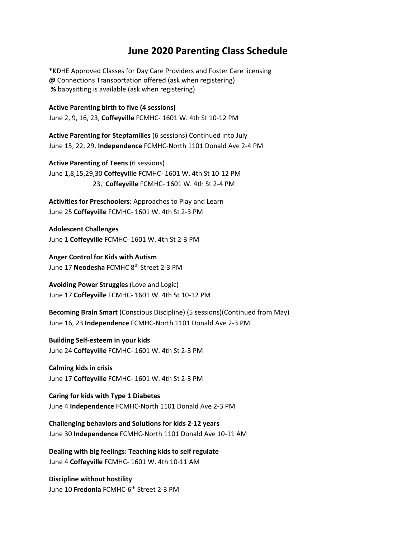## **June 2020 Parenting Class Schedule**

**\***KDHE Approved Classes for Day Care Providers and Foster Care licensing **@** Connections Transportation offered (ask when registering)  **%** babysitting is available (ask when registering)

**Active Parenting birth to five (4 sessions)**  June 2, 9, 16, 23, **Coffeyville** FCMHC- 1601 W. 4th St 10-12 PM

**Active Parenting for Stepfamilies** (6 sessions) Continued into July June 15, 22, 29, **Independence** FCMHC-North 1101 Donald Ave 2-4 PM

**Active Parenting of Teens** (6 sessions) June 1,8,15,29,30 **Coffeyville** FCMHC- 1601 W. 4th St 10-12 PM 23, **Coffeyville** FCMHC- 1601 W. 4th St 2-4 PM

**Activities for Preschoolers:** Approaches to Play and Learn June 25 **Coffeyville** FCMHC- 1601 W. 4th St 2-3 PM

**Adolescent Challenges** June 1 **Coffeyville** FCMHC- 1601 W. 4th St 2-3 PM

**Anger Control for Kids with Autism**  June 17 **Neodesha** FCMHC 8th Street 2-3 PM

**Avoiding Power Struggles** (Love and Logic) June 17 **Coffeyville** FCMHC- 1601 W. 4th St 10-12 PM

**Becoming Brain Smart** (Conscious Discipline) (5 sessions)(Continued from May) June 16, 23 **Independence** FCMHC-North 1101 Donald Ave 2-3 PM

**Building Self-esteem in your kids**  June 24 **Coffeyville** FCMHC- 1601 W. 4th St 2-3 PM

**Calming kids in crisis** June 17 **Coffeyville** FCMHC- 1601 W. 4th St 2-3 PM

**Caring for kids with Type 1 Diabetes** June 4 **Independence** FCMHC-North 1101 Donald Ave 2-3 PM

**Challenging behaviors and Solutions for kids 2-12 years**  June 30 **Independence** FCMHC-North 1101 Donald Ave 10-11 AM

**Dealing with big feelings: Teaching kids to self regulate**  June 4 **Coffeyville** FCMHC- 1601 W. 4th 10-11 AM

**Discipline without hostility** June 10 **Fredonia** FCMHC-6<sup>th</sup> Street 2-3 PM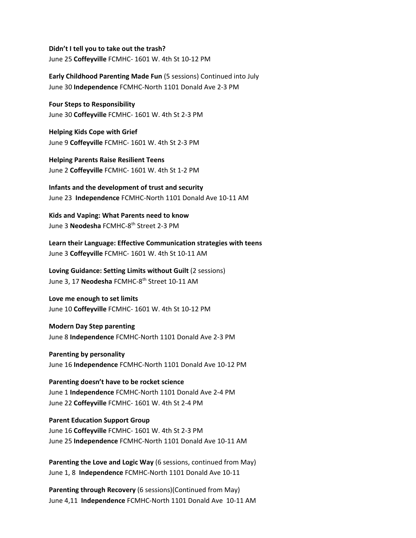**Didn't I tell you to take out the trash?** June 25 **Coffeyville** FCMHC- 1601 W. 4th St 10-12 PM

**Early Childhood Parenting Made Fun** (5 sessions) Continued into July June 30 **Independence** FCMHC-North 1101 Donald Ave 2-3 PM

**Four Steps to Responsibility**  June 30 **Coffeyville** FCMHC- 1601 W. 4th St 2-3 PM

**Helping Kids Cope with Grief** June 9 **Coffeyville** FCMHC- 1601 W. 4th St 2-3 PM

**Helping Parents Raise Resilient Teens** June 2 **Coffeyville** FCMHC- 1601 W. 4th St 1-2 PM

**Infants and the development of trust and security** June 23 **Independence** FCMHC-North 1101 Donald Ave 10-11 AM

**Kids and Vaping: What Parents need to know** June 3 **Neodesha** FCMHC-8th Street 2-3 PM

**Learn their Language: Effective Communication strategies with teens**  June 3 **Coffeyville** FCMHC- 1601 W. 4th St 10-11 AM

**Loving Guidance: Setting Limits without Guilt** (2 sessions) June 3, 17 **Neodesha** FCMHC-8th Street 10-11 AM

**Love me enough to set limits**  June 10 **Coffeyville** FCMHC- 1601 W. 4th St 10-12 PM

**Modern Day Step parenting**  June 8 **Independence** FCMHC-North 1101 Donald Ave 2-3 PM

**Parenting by personality** June 16 **Independence** FCMHC-North 1101 Donald Ave 10-12 PM

**Parenting doesn't have to be rocket science**  June 1 **Independence** FCMHC-North 1101 Donald Ave 2-4 PM June 22 **Coffeyville** FCMHC- 1601 W. 4th St 2-4 PM

**Parent Education Support Group**  June 16 **Coffeyville** FCMHC- 1601 W. 4th St 2-3 PM June 25 **Independence** FCMHC-North 1101 Donald Ave 10-11 AM

**Parenting the Love and Logic Way** (6 sessions, continued from May) June 1, 8 **Independence** FCMHC-North 1101 Donald Ave 10-11

**Parenting through Recovery** (6 sessions)(Continued from May) June 4,11 **Independence** FCMHC-North 1101 Donald Ave 10-11 AM